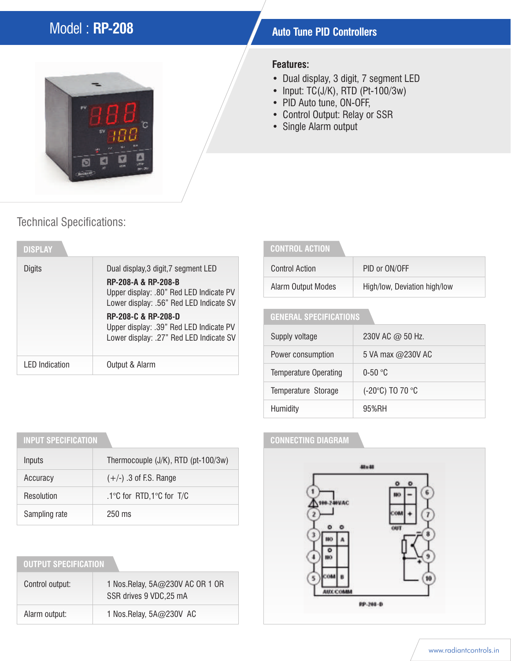# **Model : RP-208 Auto Tune PID Controllers**



#### **Features:**

- Dual display, 3 digit, 7 segment LED
- Input: TC(J/K), RTD (Pt-100/3w)
- PID Auto tune, ON-OFF,
- Control Output: Relay or SSR
- Single Alarm output

## Technical Specifications:

| <b>DISPLAY</b>        |                                                                                                                   |
|-----------------------|-------------------------------------------------------------------------------------------------------------------|
| Digits                | Dual display, 3 digit, 7 segment LED<br><b>RP-208-A &amp; RP-208-B</b><br>Upper display: .80" Red LED Indicate PV |
|                       | Lower display: .56" Red LED Indicate SV                                                                           |
|                       | <b>RP-208-C &amp; RP-208-D</b><br>Upper display: .39" Red LED Indicate PV                                         |
|                       | Lower display: .27" Red LED Indicate SV                                                                           |
| <b>LED</b> Indication | Output & Alarm                                                                                                    |

### **CONTROL ACTION**

| Control Action     | PID or ON/OFF                |  |
|--------------------|------------------------------|--|
| Alarm Output Modes | High/low, Deviation high/low |  |

### **GENERAL SPECIFICATIONS**

| Supply voltage               | 230V AC @ 50 Hz.  |  |
|------------------------------|-------------------|--|
| Power consumption            | 5 VA max @230V AC |  |
| <b>Temperature Operating</b> | $0-50$ °C         |  |
| Temperature Storage          | (-20°C) TO 70 °C  |  |
| Humidity                     | 95%RH             |  |

### **CONNECTING DIAGRAM**



## **INPUT SPECIFICATION**

| Inputs        | Thermocouple (J/K), RTD (pt-100/3w) |
|---------------|-------------------------------------|
| Accuracy      | $(+/-)$ .3 of F.S. Range            |
| Resolution    | .1°C for RTD,1°C for T/C            |
| Sampling rate | $250 \text{ ms}$                    |

| <b>OUTPUT SPECIFICATION</b> |                                                             |  |  |  |  |
|-----------------------------|-------------------------------------------------------------|--|--|--|--|
| Control output:             | 1 Nos. Relay, 5A@230V AC OR 1 OR<br>SSR drives 9 VDC, 25 mA |  |  |  |  |
| Alarm output:               | 1 Nos. Relay, 5A@230V AC                                    |  |  |  |  |